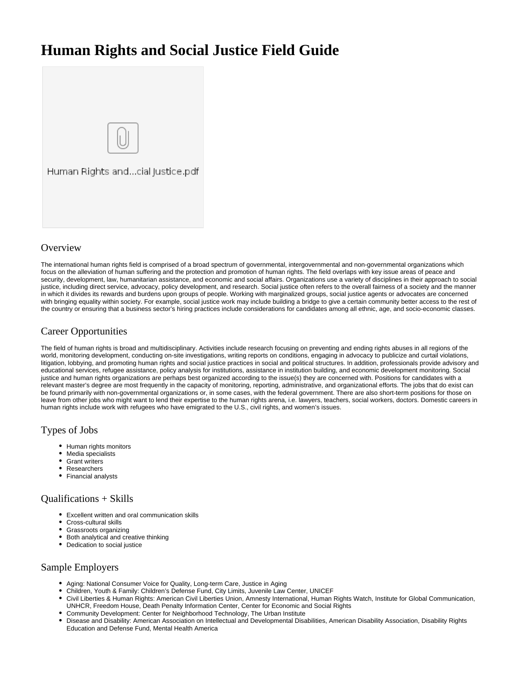# **Human Rights and Social Justice Field Guide**



### **Overview**

The international human rights field is comprised of a broad spectrum of governmental, intergovernmental and non-governmental organizations which focus on the alleviation of human suffering and the protection and promotion of human rights. The field overlaps with key issue areas of peace and security, development, law, humanitarian assistance, and economic and social affairs. Organizations use a variety of disciplines in their approach to social justice, including direct service, advocacy, policy development, and research. Social justice often refers to the overall fairness of a society and the manner in which it divides its rewards and burdens upon groups of people. Working with marginalized groups, social justice agents or advocates are concerned with bringing equality within society. For example, social justice work may include building a bridge to give a certain community better access to the rest of the country or ensuring that a business sector's hiring practices include considerations for candidates among all ethnic, age, and socio-economic classes.

## Career Opportunities

The field of human rights is broad and multidisciplinary. Activities include research focusing on preventing and ending rights abuses in all regions of the world, monitoring development, conducting on-site investigations, writing reports on conditions, engaging in advocacy to publicize and curtail violations, litigation, lobbying, and promoting human rights and social justice practices in social and political structures. In addition, professionals provide advisory and educational services, refugee assistance, policy analysis for institutions, assistance in institution building, and economic development monitoring. Social justice and human rights organizations are perhaps best organized according to the issue(s) they are concerned with. Positions for candidates with a relevant master's degree are most frequently in the capacity of monitoring, reporting, administrative, and organizational efforts. The jobs that do exist can be found primarily with non-governmental organizations or, in some cases, with the federal government. There are also short-term positions for those on leave from other jobs who might want to lend their expertise to the human rights arena, i.e. lawyers, teachers, social workers, doctors. Domestic careers in human rights include work with refugees who have emigrated to the U.S., civil rights, and women's issues.

#### Types of Jobs

- Human rights monitors
- Media specialists
- Grant writers
- Researchers
- Financial analysts

#### Qualifications + Skills

- Excellent written and oral communication skills
- Cross-cultural skills
- Grassroots organizing
- Both analytical and creative thinking
- Dedication to social justice

#### Sample Employers

- Aging: National Consumer Voice for Quality, Long-term Care, Justice in Aging
- Children, Youth & Family: Children's Defense Fund, City Limits, Juvenile Law Center, UNICEF
- Civil Liberties & Human Rights: American Civil Liberties Union, Amnesty International, Human Rights Watch, Institute for Global Communication, UNHCR, Freedom House, Death Penalty Information Center, Center for Economic and Social Rights
- Community Development: Center for Neighborhood Technology, The Urban Institute
- Disease and Disability: American Association on Intellectual and Developmental Disabilities, American Disability Association, Disability Rights Education and Defense Fund, Mental Health America